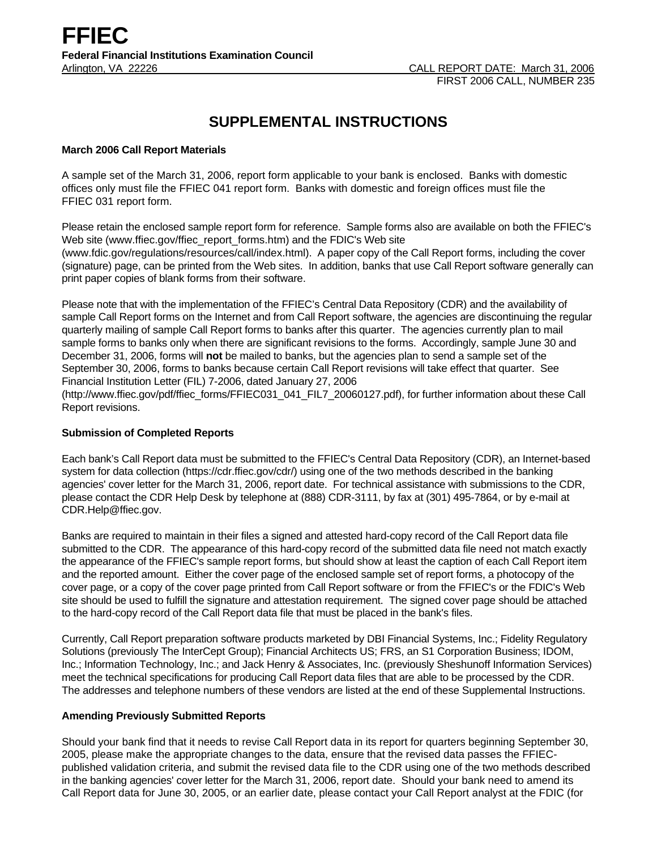# **SUPPLEMENTAL INSTRUCTIONS**

#### **March 2006 Call Report Materials**

A sample set of the March 31, 2006, report form applicable to your bank is enclosed. Banks with domestic offices only must file the FFIEC 041 report form. Banks with domestic and foreign offices must file the FFIEC 031 report form.

Please retain the enclosed sample report form for reference. Sample forms also are available on both the FFIEC's Web site (www.ffiec.gov/ffiec\_report\_forms.htm) and the FDIC's Web site (www.fdic.gov/regulations/resources/call/index.html). A paper copy of the Call Report forms, including the cover (signature) page, can be printed from the Web sites. In addition, banks that use Call Report software generally can print paper copies of blank forms from their software.

Please note that with the implementation of the FFIEC's Central Data Repository (CDR) and the availability of sample Call Report forms on the Internet and from Call Report software, the agencies are discontinuing the regular quarterly mailing of sample Call Report forms to banks after this quarter. The agencies currently plan to mail sample forms to banks only when there are significant revisions to the forms. Accordingly, sample June 30 and December 31, 2006, forms will **not** be mailed to banks, but the agencies plan to send a sample set of the September 30, 2006, forms to banks because certain Call Report revisions will take effect that quarter. See Financial Institution Letter (FIL) 7-2006, dated January 27, 2006

(http://www.ffiec.gov/pdf/ffiec\_forms/FFIEC031\_041\_FIL7\_20060127.pdf), for further information about these Call Report revisions.

#### **Submission of Completed Reports**

Each bank's Call Report data must be submitted to the FFIEC's Central Data Repository (CDR), an Internet-based system for data collection (https://cdr.ffiec.gov/cdr/) using one of the two methods described in the banking agencies' cover letter for the March 31, 2006, report date. For technical assistance with submissions to the CDR, please contact the CDR Help Desk by telephone at (888) CDR-3111, by fax at (301) 495-7864, or by e-mail at CDR.Help@ffiec.gov.

Banks are required to maintain in their files a signed and attested hard-copy record of the Call Report data file submitted to the CDR. The appearance of this hard-copy record of the submitted data file need not match exactly the appearance of the FFIEC's sample report forms, but should show at least the caption of each Call Report item and the reported amount. Either the cover page of the enclosed sample set of report forms, a photocopy of the cover page, or a copy of the cover page printed from Call Report software or from the FFIEC's or the FDIC's Web site should be used to fulfill the signature and attestation requirement. The signed cover page should be attached to the hard-copy record of the Call Report data file that must be placed in the bank's files.

Currently, Call Report preparation software products marketed by DBI Financial Systems, Inc.; Fidelity Regulatory Solutions (previously The InterCept Group); Financial Architects US; FRS, an S1 Corporation Business; IDOM, Inc.; Information Technology, Inc.; and Jack Henry & Associates, Inc. (previously Sheshunoff Information Services) meet the technical specifications for producing Call Report data files that are able to be processed by the CDR. The addresses and telephone numbers of these vendors are listed at the end of these Supplemental Instructions.

#### **Amending Previously Submitted Reports**

Should your bank find that it needs to revise Call Report data in its report for quarters beginning September 30, 2005, please make the appropriate changes to the data, ensure that the revised data passes the FFIECpublished validation criteria, and submit the revised data file to the CDR using one of the two methods described in the banking agencies' cover letter for the March 31, 2006, report date. Should your bank need to amend its Call Report data for June 30, 2005, or an earlier date, please contact your Call Report analyst at the FDIC (for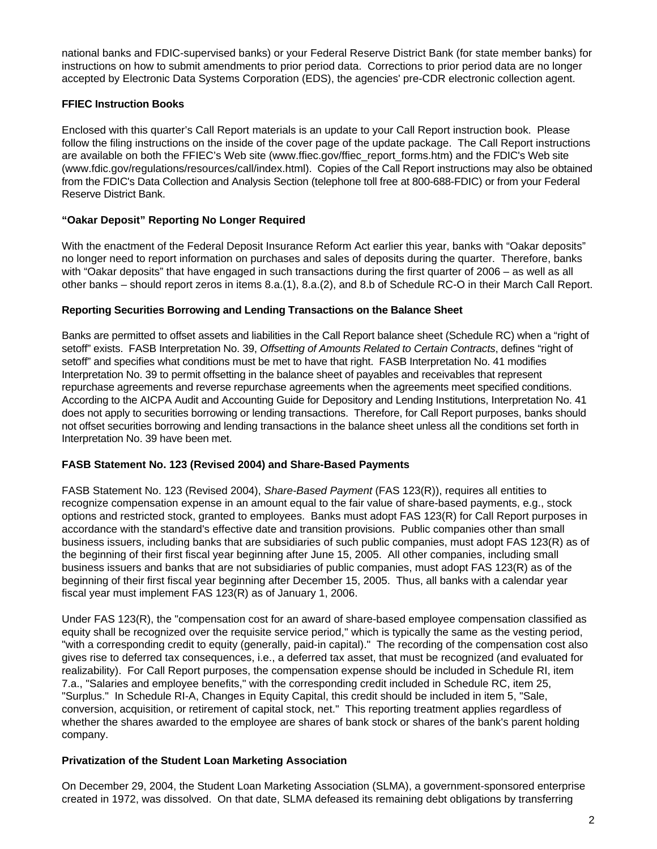national banks and FDIC-supervised banks) or your Federal Reserve District Bank (for state member banks) for instructions on how to submit amendments to prior period data. Corrections to prior period data are no longer accepted by Electronic Data Systems Corporation (EDS), the agencies' pre-CDR electronic collection agent.

# **FFIEC Instruction Books**

Enclosed with this quarter's Call Report materials is an update to your Call Report instruction book. Please follow the filing instructions on the inside of the cover page of the update package. The Call Report instructions are available on both the FFIEC's Web site (www.ffiec.gov/ffiec\_report\_forms.htm) and the FDIC's Web site (www.fdic.gov/regulations/resources/call/index.html). Copies of the Call Report instructions may also be obtained from the FDIC's Data Collection and Analysis Section (telephone toll free at 800-688-FDIC) or from your Federal Reserve District Bank.

# **"Oakar Deposit" Reporting No Longer Required**

With the enactment of the Federal Deposit Insurance Reform Act earlier this year, banks with "Oakar deposits" no longer need to report information on purchases and sales of deposits during the quarter. Therefore, banks with "Oakar deposits" that have engaged in such transactions during the first quarter of 2006 – as well as all other banks – should report zeros in items 8.a.(1), 8.a.(2), and 8.b of Schedule RC-O in their March Call Report.

## **Reporting Securities Borrowing and Lending Transactions on the Balance Sheet**

Banks are permitted to offset assets and liabilities in the Call Report balance sheet (Schedule RC) when a "right of setoff" exists. FASB Interpretation No. 39, *Offsetting of Amounts Related to Certain Contracts*, defines "right of setoff" and specifies what conditions must be met to have that right. FASB Interpretation No. 41 modifies Interpretation No. 39 to permit offsetting in the balance sheet of payables and receivables that represent repurchase agreements and reverse repurchase agreements when the agreements meet specified conditions. According to the AICPA Audit and Accounting Guide for Depository and Lending Institutions, Interpretation No. 41 does not apply to securities borrowing or lending transactions. Therefore, for Call Report purposes, banks should not offset securities borrowing and lending transactions in the balance sheet unless all the conditions set forth in Interpretation No. 39 have been met.

## **FASB Statement No. 123 (Revised 2004) and Share-Based Payments**

FASB Statement No. 123 (Revised 2004), *Share-Based Payment* (FAS 123(R)), requires all entities to recognize compensation expense in an amount equal to the fair value of share-based payments, e.g., stock options and restricted stock, granted to employees. Banks must adopt FAS 123(R) for Call Report purposes in accordance with the standard's effective date and transition provisions. Public companies other than small business issuers, including banks that are subsidiaries of such public companies, must adopt FAS 123(R) as of the beginning of their first fiscal year beginning after June 15, 2005. All other companies, including small business issuers and banks that are not subsidiaries of public companies, must adopt FAS 123(R) as of the beginning of their first fiscal year beginning after December 15, 2005. Thus, all banks with a calendar year fiscal year must implement FAS 123(R) as of January 1, 2006.

Under FAS 123(R), the "compensation cost for an award of share-based employee compensation classified as equity shall be recognized over the requisite service period," which is typically the same as the vesting period, "with a corresponding credit to equity (generally, paid-in capital)." The recording of the compensation cost also gives rise to deferred tax consequences, i.e., a deferred tax asset, that must be recognized (and evaluated for realizability). For Call Report purposes, the compensation expense should be included in Schedule RI, item 7.a., "Salaries and employee benefits," with the corresponding credit included in Schedule RC, item 25, "Surplus." In Schedule RI-A, Changes in Equity Capital, this credit should be included in item 5, "Sale, conversion, acquisition, or retirement of capital stock, net." This reporting treatment applies regardless of whether the shares awarded to the employee are shares of bank stock or shares of the bank's parent holding company.

## **Privatization of the Student Loan Marketing Association**

On December 29, 2004, the Student Loan Marketing Association (SLMA), a government-sponsored enterprise created in 1972, was dissolved. On that date, SLMA defeased its remaining debt obligations by transferring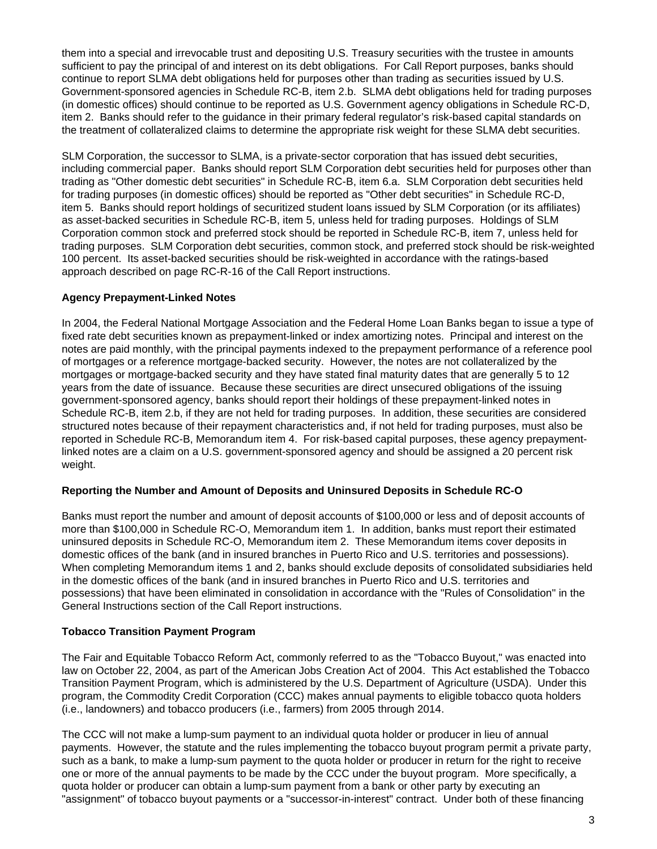them into a special and irrevocable trust and depositing U.S. Treasury securities with the trustee in amounts sufficient to pay the principal of and interest on its debt obligations. For Call Report purposes, banks should continue to report SLMA debt obligations held for purposes other than trading as securities issued by U.S. Government-sponsored agencies in Schedule RC-B, item 2.b. SLMA debt obligations held for trading purposes (in domestic offices) should continue to be reported as U.S. Government agency obligations in Schedule RC-D, item 2. Banks should refer to the guidance in their primary federal regulator's risk-based capital standards on the treatment of collateralized claims to determine the appropriate risk weight for these SLMA debt securities.

SLM Corporation, the successor to SLMA, is a private-sector corporation that has issued debt securities, including commercial paper. Banks should report SLM Corporation debt securities held for purposes other than trading as "Other domestic debt securities" in Schedule RC-B, item 6.a. SLM Corporation debt securities held for trading purposes (in domestic offices) should be reported as "Other debt securities" in Schedule RC-D, item 5. Banks should report holdings of securitized student loans issued by SLM Corporation (or its affiliates) as asset-backed securities in Schedule RC-B, item 5, unless held for trading purposes. Holdings of SLM Corporation common stock and preferred stock should be reported in Schedule RC-B, item 7, unless held for trading purposes. SLM Corporation debt securities, common stock, and preferred stock should be risk-weighted 100 percent. Its asset-backed securities should be risk-weighted in accordance with the ratings-based approach described on page RC-R-16 of the Call Report instructions.

# **Agency Prepayment-Linked Notes**

In 2004, the Federal National Mortgage Association and the Federal Home Loan Banks began to issue a type of fixed rate debt securities known as prepayment-linked or index amortizing notes. Principal and interest on the notes are paid monthly, with the principal payments indexed to the prepayment performance of a reference pool of mortgages or a reference mortgage-backed security. However, the notes are not collateralized by the mortgages or mortgage-backed security and they have stated final maturity dates that are generally 5 to 12 years from the date of issuance. Because these securities are direct unsecured obligations of the issuing government-sponsored agency, banks should report their holdings of these prepayment-linked notes in Schedule RC-B, item 2.b, if they are not held for trading purposes. In addition, these securities are considered structured notes because of their repayment characteristics and, if not held for trading purposes, must also be reported in Schedule RC-B, Memorandum item 4. For risk-based capital purposes, these agency prepaymentlinked notes are a claim on a U.S. government-sponsored agency and should be assigned a 20 percent risk weight.

## **Reporting the Number and Amount of Deposits and Uninsured Deposits in Schedule RC-O**

Banks must report the number and amount of deposit accounts of \$100,000 or less and of deposit accounts of more than \$100,000 in Schedule RC-O, Memorandum item 1. In addition, banks must report their estimated uninsured deposits in Schedule RC-O, Memorandum item 2. These Memorandum items cover deposits in domestic offices of the bank (and in insured branches in Puerto Rico and U.S. territories and possessions). When completing Memorandum items 1 and 2, banks should exclude deposits of consolidated subsidiaries held in the domestic offices of the bank (and in insured branches in Puerto Rico and U.S. territories and possessions) that have been eliminated in consolidation in accordance with the "Rules of Consolidation" in the General Instructions section of the Call Report instructions.

## **Tobacco Transition Payment Program**

The Fair and Equitable Tobacco Reform Act, commonly referred to as the "Tobacco Buyout," was enacted into law on October 22, 2004, as part of the American Jobs Creation Act of 2004. This Act established the Tobacco Transition Payment Program, which is administered by the U.S. Department of Agriculture (USDA). Under this program, the Commodity Credit Corporation (CCC) makes annual payments to eligible tobacco quota holders (i.e., landowners) and tobacco producers (i.e., farmers) from 2005 through 2014.

The CCC will not make a lump-sum payment to an individual quota holder or producer in lieu of annual payments. However, the statute and the rules implementing the tobacco buyout program permit a private party, such as a bank, to make a lump-sum payment to the quota holder or producer in return for the right to receive one or more of the annual payments to be made by the CCC under the buyout program. More specifically, a quota holder or producer can obtain a lump-sum payment from a bank or other party by executing an "assignment" of tobacco buyout payments or a "successor-in-interest" contract. Under both of these financing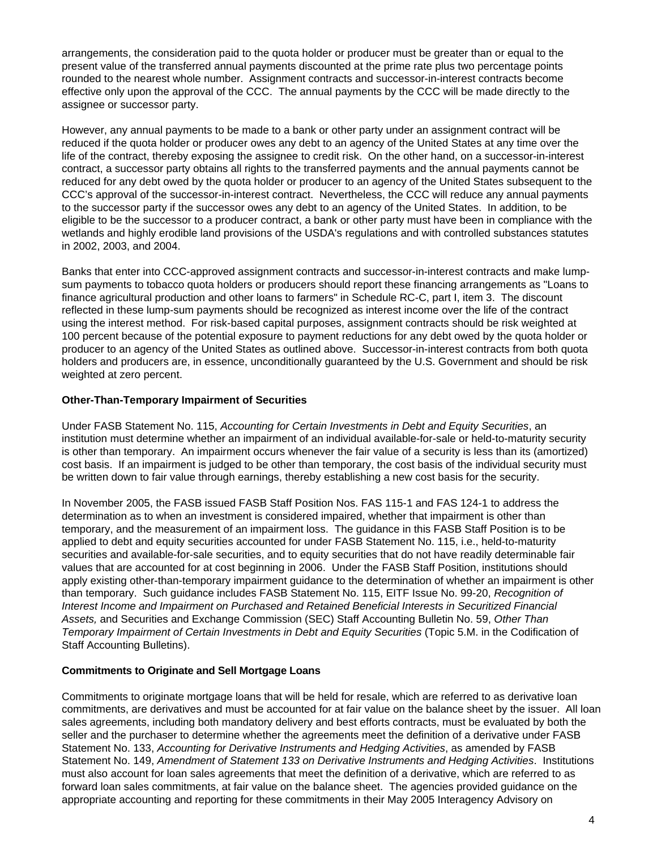arrangements, the consideration paid to the quota holder or producer must be greater than or equal to the present value of the transferred annual payments discounted at the prime rate plus two percentage points rounded to the nearest whole number. Assignment contracts and successor-in-interest contracts become effective only upon the approval of the CCC. The annual payments by the CCC will be made directly to the assignee or successor party.

However, any annual payments to be made to a bank or other party under an assignment contract will be reduced if the quota holder or producer owes any debt to an agency of the United States at any time over the life of the contract, thereby exposing the assignee to credit risk. On the other hand, on a successor-in-interest contract, a successor party obtains all rights to the transferred payments and the annual payments cannot be reduced for any debt owed by the quota holder or producer to an agency of the United States subsequent to the CCC's approval of the successor-in-interest contract. Nevertheless, the CCC will reduce any annual payments to the successor party if the successor owes any debt to an agency of the United States. In addition, to be eligible to be the successor to a producer contract, a bank or other party must have been in compliance with the wetlands and highly erodible land provisions of the USDA's regulations and with controlled substances statutes in 2002, 2003, and 2004.

Banks that enter into CCC-approved assignment contracts and successor-in-interest contracts and make lumpsum payments to tobacco quota holders or producers should report these financing arrangements as "Loans to finance agricultural production and other loans to farmers" in Schedule RC-C, part I, item 3. The discount reflected in these lump-sum payments should be recognized as interest income over the life of the contract using the interest method. For risk-based capital purposes, assignment contracts should be risk weighted at 100 percent because of the potential exposure to payment reductions for any debt owed by the quota holder or producer to an agency of the United States as outlined above. Successor-in-interest contracts from both quota holders and producers are, in essence, unconditionally guaranteed by the U.S. Government and should be risk weighted at zero percent.

## **Other-Than-Temporary Impairment of Securities**

Under FASB Statement No. 115, *Accounting for Certain Investments in Debt and Equity Securities*, an institution must determine whether an impairment of an individual available-for-sale or held-to-maturity security is other than temporary. An impairment occurs whenever the fair value of a security is less than its (amortized) cost basis. If an impairment is judged to be other than temporary, the cost basis of the individual security must be written down to fair value through earnings, thereby establishing a new cost basis for the security.

In November 2005, the FASB issued FASB Staff Position Nos. FAS 115-1 and FAS 124-1 to address the determination as to when an investment is considered impaired, whether that impairment is other than temporary, and the measurement of an impairment loss. The guidance in this FASB Staff Position is to be applied to debt and equity securities accounted for under FASB Statement No. 115, i.e., held-to-maturity securities and available-for-sale securities, and to equity securities that do not have readily determinable fair values that are accounted for at cost beginning in 2006. Under the FASB Staff Position, institutions should apply existing other-than-temporary impairment guidance to the determination of whether an impairment is other than temporary. Such guidance includes FASB Statement No. 115, EITF Issue No. 99-20, *Recognition of Interest Income and Impairment on Purchased and Retained Beneficial Interests in Securitized Financial Assets,* and Securities and Exchange Commission (SEC) Staff Accounting Bulletin No. 59, *Other Than Temporary Impairment of Certain Investments in Debt and Equity Securities* (Topic 5.M. in the Codification of Staff Accounting Bulletins).

## **Commitments to Originate and Sell Mortgage Loans**

Commitments to originate mortgage loans that will be held for resale, which are referred to as derivative loan commitments, are derivatives and must be accounted for at fair value on the balance sheet by the issuer. All loan sales agreements, including both mandatory delivery and best efforts contracts, must be evaluated by both the seller and the purchaser to determine whether the agreements meet the definition of a derivative under FASB Statement No. 133, *Accounting for Derivative Instruments and Hedging Activities*, as amended by FASB Statement No. 149, *Amendment of Statement 133 on Derivative Instruments and Hedging Activities*. Institutions must also account for loan sales agreements that meet the definition of a derivative, which are referred to as forward loan sales commitments, at fair value on the balance sheet. The agencies provided guidance on the appropriate accounting and reporting for these commitments in their May 2005 Interagency Advisory on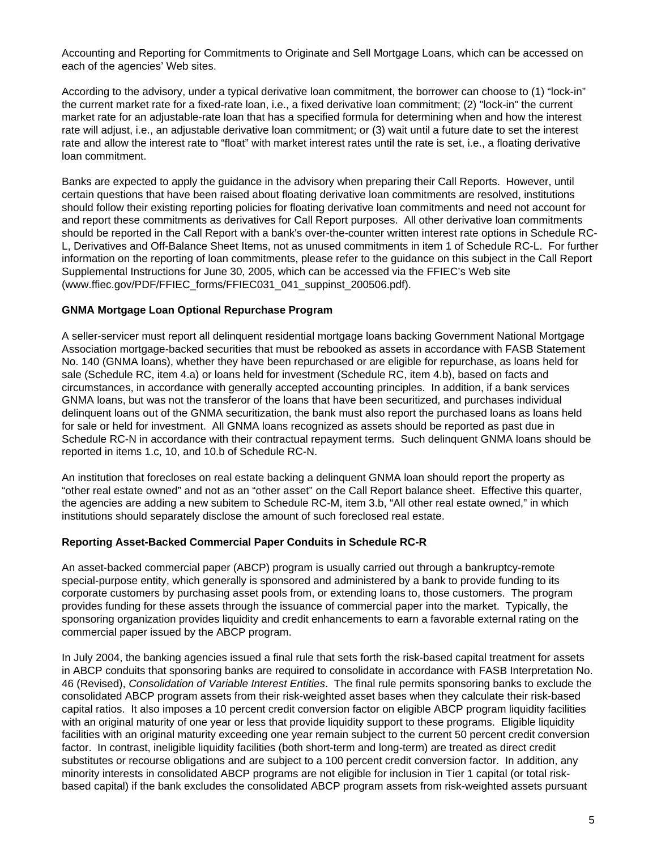Accounting and Reporting for Commitments to Originate and Sell Mortgage Loans, which can be accessed on each of the agencies' Web sites.

According to the advisory, under a typical derivative loan commitment, the borrower can choose to (1) "lock-in" the current market rate for a fixed-rate loan, i.e., a fixed derivative loan commitment; (2) "lock-in" the current market rate for an adjustable-rate loan that has a specified formula for determining when and how the interest rate will adjust, i.e., an adjustable derivative loan commitment; or (3) wait until a future date to set the interest rate and allow the interest rate to "float" with market interest rates until the rate is set, i.e., a floating derivative loan commitment.

Banks are expected to apply the guidance in the advisory when preparing their Call Reports. However, until certain questions that have been raised about floating derivative loan commitments are resolved, institutions should follow their existing reporting policies for floating derivative loan commitments and need not account for and report these commitments as derivatives for Call Report purposes. All other derivative loan commitments should be reported in the Call Report with a bank's over-the-counter written interest rate options in Schedule RC-L, Derivatives and Off-Balance Sheet Items, not as unused commitments in item 1 of Schedule RC-L. For further information on the reporting of loan commitments, please refer to the guidance on this subject in the Call Report Supplemental Instructions for June 30, 2005, which can be accessed via the FFIEC's Web site (www.ffiec.gov/PDF/FFIEC\_forms/FFIEC031\_041\_suppinst\_200506.pdf).

## **GNMA Mortgage Loan Optional Repurchase Program**

A seller-servicer must report all delinquent residential mortgage loans backing Government National Mortgage Association mortgage-backed securities that must be rebooked as assets in accordance with FASB Statement No. 140 (GNMA loans), whether they have been repurchased or are eligible for repurchase, as loans held for sale (Schedule RC, item 4.a) or loans held for investment (Schedule RC, item 4.b), based on facts and circumstances, in accordance with generally accepted accounting principles. In addition, if a bank services GNMA loans, but was not the transferor of the loans that have been securitized, and purchases individual delinquent loans out of the GNMA securitization, the bank must also report the purchased loans as loans held for sale or held for investment. All GNMA loans recognized as assets should be reported as past due in Schedule RC-N in accordance with their contractual repayment terms. Such delinquent GNMA loans should be reported in items 1.c, 10, and 10.b of Schedule RC-N.

An institution that forecloses on real estate backing a delinquent GNMA loan should report the property as "other real estate owned" and not as an "other asset" on the Call Report balance sheet. Effective this quarter, the agencies are adding a new subitem to Schedule RC-M, item 3.b, "All other real estate owned," in which institutions should separately disclose the amount of such foreclosed real estate.

#### **Reporting Asset-Backed Commercial Paper Conduits in Schedule RC-R**

An asset-backed commercial paper (ABCP) program is usually carried out through a bankruptcy-remote special-purpose entity, which generally is sponsored and administered by a bank to provide funding to its corporate customers by purchasing asset pools from, or extending loans to, those customers. The program provides funding for these assets through the issuance of commercial paper into the market. Typically, the sponsoring organization provides liquidity and credit enhancements to earn a favorable external rating on the commercial paper issued by the ABCP program.

In July 2004, the banking agencies issued a final rule that sets forth the risk-based capital treatment for assets in ABCP conduits that sponsoring banks are required to consolidate in accordance with FASB Interpretation No. 46 (Revised), *Consolidation of Variable Interest Entities*. The final rule permits sponsoring banks to exclude the consolidated ABCP program assets from their risk-weighted asset bases when they calculate their risk-based capital ratios. It also imposes a 10 percent credit conversion factor on eligible ABCP program liquidity facilities with an original maturity of one year or less that provide liquidity support to these programs. Eligible liquidity facilities with an original maturity exceeding one year remain subject to the current 50 percent credit conversion factor. In contrast, ineligible liquidity facilities (both short-term and long-term) are treated as direct credit substitutes or recourse obligations and are subject to a 100 percent credit conversion factor. In addition, any minority interests in consolidated ABCP programs are not eligible for inclusion in Tier 1 capital (or total riskbased capital) if the bank excludes the consolidated ABCP program assets from risk-weighted assets pursuant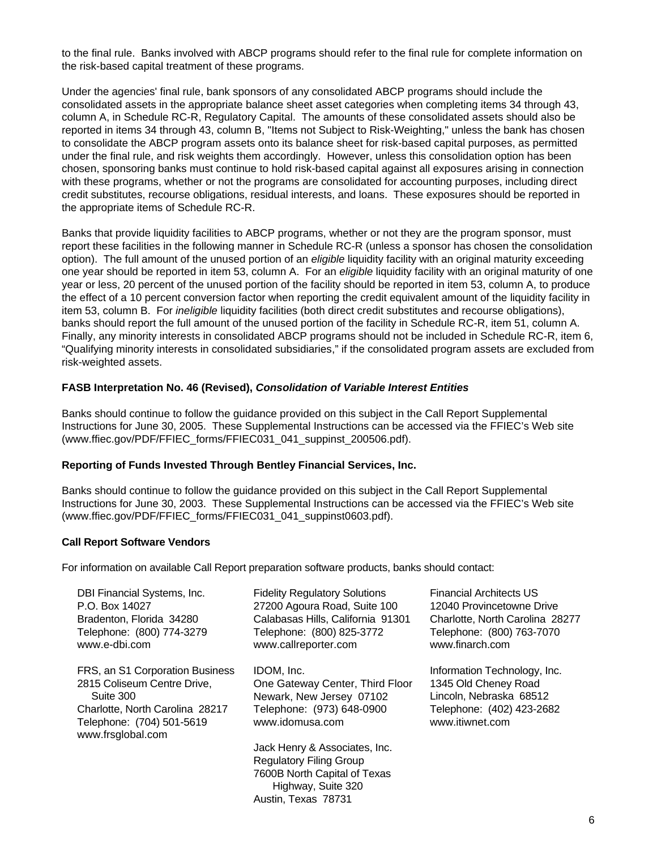to the final rule. Banks involved with ABCP programs should refer to the final rule for complete information on the risk-based capital treatment of these programs.

Under the agencies' final rule, bank sponsors of any consolidated ABCP programs should include the consolidated assets in the appropriate balance sheet asset categories when completing items 34 through 43, column A, in Schedule RC-R, Regulatory Capital. The amounts of these consolidated assets should also be reported in items 34 through 43, column B, "Items not Subject to Risk-Weighting," unless the bank has chosen to consolidate the ABCP program assets onto its balance sheet for risk-based capital purposes, as permitted under the final rule, and risk weights them accordingly. However, unless this consolidation option has been chosen, sponsoring banks must continue to hold risk-based capital against all exposures arising in connection with these programs, whether or not the programs are consolidated for accounting purposes, including direct credit substitutes, recourse obligations, residual interests, and loans. These exposures should be reported in the appropriate items of Schedule RC-R.

Banks that provide liquidity facilities to ABCP programs, whether or not they are the program sponsor, must report these facilities in the following manner in Schedule RC-R (unless a sponsor has chosen the consolidation option). The full amount of the unused portion of an *eligible* liquidity facility with an original maturity exceeding one year should be reported in item 53, column A. For an *eligible* liquidity facility with an original maturity of one year or less, 20 percent of the unused portion of the facility should be reported in item 53, column A, to produce the effect of a 10 percent conversion factor when reporting the credit equivalent amount of the liquidity facility in item 53, column B. For *ineligible* liquidity facilities (both direct credit substitutes and recourse obligations), banks should report the full amount of the unused portion of the facility in Schedule RC-R, item 51, column A. Finally, any minority interests in consolidated ABCP programs should not be included in Schedule RC-R, item 6, "Qualifying minority interests in consolidated subsidiaries," if the consolidated program assets are excluded from risk-weighted assets.

#### **FASB Interpretation No. 46 (Revised),** *Consolidation of Variable Interest Entities*

Banks should continue to follow the guidance provided on this subject in the Call Report Supplemental Instructions for June 30, 2005. These Supplemental Instructions can be accessed via the FFIEC's Web site (www.ffiec.gov/PDF/FFIEC\_forms/FFIEC031\_041\_suppinst\_200506.pdf).

#### **Reporting of Funds Invested Through Bentley Financial Services, Inc.**

Banks should continue to follow the guidance provided on this subject in the Call Report Supplemental Instructions for June 30, 2003. These Supplemental Instructions can be accessed via the FFIEC's Web site (www.ffiec.gov/PDF/FFIEC\_forms/FFIEC031\_041\_suppinst0603.pdf).

#### **Call Report Software Vendors**

For information on available Call Report preparation software products, banks should contact:

| DBI Financial Systems, Inc.<br>P.O. Box 14027<br>Bradenton, Florida 34280<br>Telephone: (800) 774-3279<br>www.e-dbi.com                                          | <b>Fidelity Regulatory Solutions</b><br>27200 Agoura Road, Suite 100<br>Calabasas Hills, California 91301<br>Telephone: (800) 825-3772<br>www.callreporter.com | <b>Financial Architects US</b><br>12040 Provincetowne Drive<br>Charlotte, North Carolina 28277<br>Telephone: (800) 763-7070<br>www.finarch.com |
|------------------------------------------------------------------------------------------------------------------------------------------------------------------|----------------------------------------------------------------------------------------------------------------------------------------------------------------|------------------------------------------------------------------------------------------------------------------------------------------------|
| FRS, an S1 Corporation Business<br>2815 Coliseum Centre Drive,<br>Suite 300<br>Charlotte, North Carolina 28217<br>Telephone: (704) 501-5619<br>www.frsglobal.com | IDOM. Inc.<br>One Gateway Center, Third Floor<br>Newark, New Jersey 07102<br>Telephone: (973) 648-0900<br>www.idomusa.com                                      | Information Technology, Inc.<br>1345 Old Cheney Road<br>Lincoln, Nebraska 68512<br>Telephone: (402) 423-2682<br>www.itiwnet.com                |
|                                                                                                                                                                  | Jack Henry & Associates, Inc.<br><b>Regulatory Filing Group</b><br>7600B North Capital of Texas<br>Highway, Suite 320<br>Austin, Texas 78731                   |                                                                                                                                                |